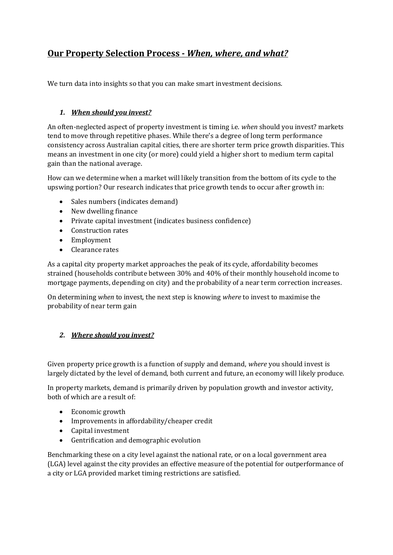# **Our Property Selection Process -** *When, where, and what?*

We turn data into insights so that you can make smart investment decisions.

### *1. When should you invest?*

An often-neglected aspect of property investment is timing i.e. *when* should you invest? markets tend to move through repetitive phases. While there's a degree of long term performance consistency across Australian capital cities, there are shorter term price growth disparities. This means an investment in one city (or more) could yield a higher short to medium term capital gain than the national average.

How can we determine when a market will likely transition from the bottom of its cycle to the upswing portion? Our research indicates that price growth tends to occur after growth in:

- Sales numbers (indicates demand)
- New dwelling finance
- Private capital investment (indicates business confidence)
- Construction rates
- Employment
- Clearance rates

As a capital city property market approaches the peak of its cycle, affordability becomes strained (households contribute between 30% and 40% of their monthly household income to mortgage payments, depending on city) and the probability of a near term correction increases.

On determining *when* to invest, the next step is knowing *where* to invest to maximise the probability of near term gain

### *2. Where should you invest?*

Given property price growth is a function of supply and demand, *where* you should invest is largely dictated by the level of demand, both current and future, an economy will likely produce.

In property markets, demand is primarily driven by population growth and investor activity, both of which are a result of:

- Economic growth
- Improvements in affordability/cheaper credit
- Capital investment
- Gentrification and demographic evolution

Benchmarking these on a city level against the national rate, or on a local government area (LGA) level against the city provides an effective measure of the potential for outperformance of a city or LGA provided market timing restrictions are satisfied.